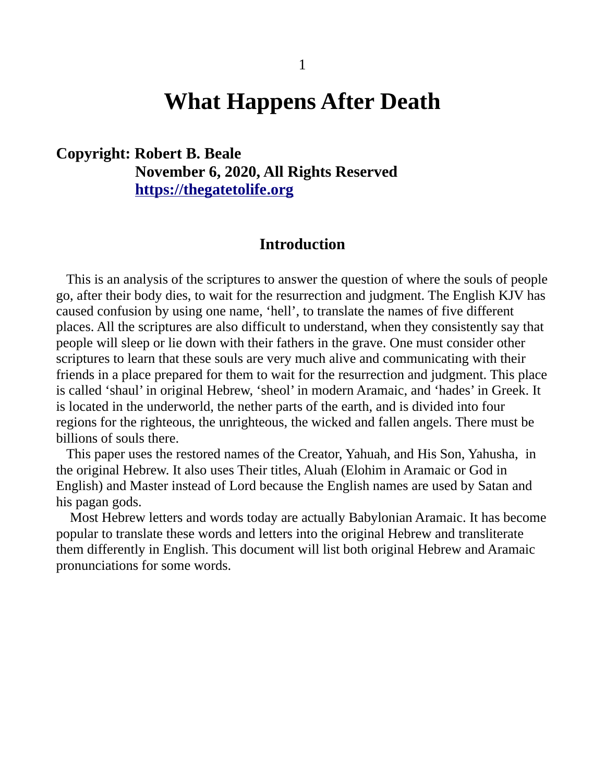# **What Happens After Death**

#### **Copyright: Robert B. Beale November 6, 2020, All Rights Reserved [https://thegatetolife .org](https://thegatetolife.org/)**

#### **Introduction**

 This is an analysis of the scriptures to answer the question of where the souls of people go, after their body dies, to wait for the resurrection and judgment. The English KJV has caused confusion by using one name, 'hell', to translate the names of five different places. All the scriptures are also difficult to understand, when they consistently say that people will sleep or lie down with their fathers in the grave. One must consider other scriptures to learn that these souls are very much alive and communicating with their friends in a place prepared for them to wait for the resurrection and judgment. This place is called 'shaul' in original Hebrew, 'sheol' in modern Aramaic, and 'hades' in Greek. It is located in the underworld, the nether parts of the earth, and is divided into four regions for the righteous, the unrighteous, the wicked and fallen angels. There must be billions of souls there.

 This paper uses the restored names of the Creator, Yahuah, and His Son, Yahusha, in the original Hebrew. It also uses Their titles, Aluah (Elohim in Aramaic or God in English) and Master instead of Lord because the English names are used by Satan and his pagan gods.

 Most Hebrew letters and words today are actually Babylonian Aramaic. It has become popular to translate these words and letters into the original Hebrew and transliterate them differently in English. This document will list both original Hebrew and Aramaic pronunciations for some words.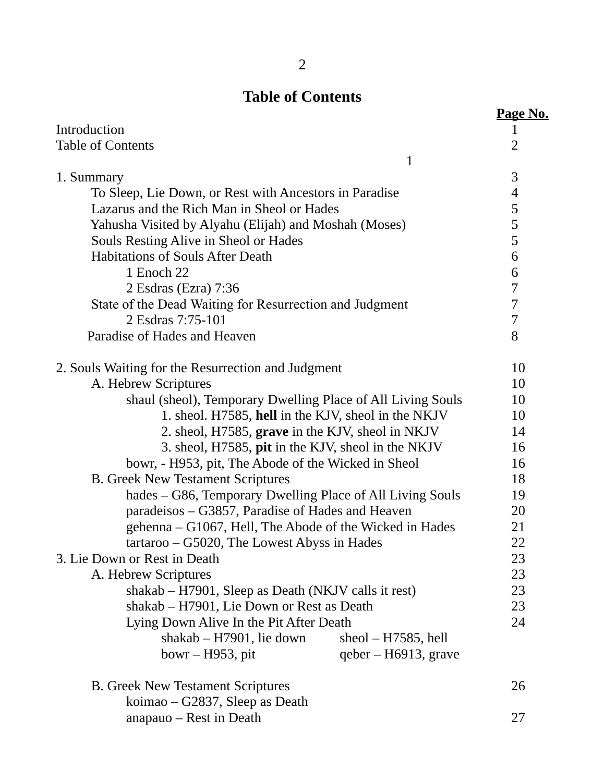## **Table of Contents**

| Tanic di <i>c</i> onitente                                  |                |  |  |
|-------------------------------------------------------------|----------------|--|--|
|                                                             | Page No.       |  |  |
| Introduction                                                | 1              |  |  |
| <b>Table of Contents</b>                                    | $\overline{2}$ |  |  |
| $\mathbf{1}$                                                |                |  |  |
| 1. Summary                                                  | 3              |  |  |
| To Sleep, Lie Down, or Rest with Ancestors in Paradise      | $\overline{4}$ |  |  |
| Lazarus and the Rich Man in Sheol or Hades                  | 5              |  |  |
| Yahusha Visited by Alyahu (Elijah) and Moshah (Moses)       | 5              |  |  |
| Souls Resting Alive in Sheol or Hades                       | 5              |  |  |
| <b>Habitations of Souls After Death</b>                     | 6              |  |  |
| 1 Enoch 22                                                  | 6              |  |  |
| 2 Esdras (Ezra) 7:36                                        | 7              |  |  |
| State of the Dead Waiting for Resurrection and Judgment     | 7              |  |  |
| 2 Esdras 7:75-101                                           | 7              |  |  |
| Paradise of Hades and Heaven                                | 8              |  |  |
|                                                             |                |  |  |
| 2. Souls Waiting for the Resurrection and Judgment          | 10             |  |  |
| A. Hebrew Scriptures                                        | 10             |  |  |
| shaul (sheol), Temporary Dwelling Place of All Living Souls | 10             |  |  |
| 1. sheol. H7585, hell in the KJV, sheol in the NKJV         | 10             |  |  |
| 2. sheol, H7585, grave in the KJV, sheol in NKJV            | 14             |  |  |
| 3. sheol, H7585, pit in the KJV, sheol in the NKJV          | 16             |  |  |
| bowr, - H953, pit, The Abode of the Wicked in Sheol         | 16             |  |  |
| <b>B.</b> Greek New Testament Scriptures                    | 18             |  |  |
| hades – G86, Temporary Dwelling Place of All Living Souls   | 19             |  |  |
| paradeisos – G3857, Paradise of Hades and Heaven            | 20             |  |  |
| gehenna – G1067, Hell, The Abode of the Wicked in Hades     | 21             |  |  |
| tartaroo - G5020, The Lowest Abyss in Hades                 | 22             |  |  |
| 3. Lie Down or Rest in Death                                | 23             |  |  |
| A. Hebrew Scriptures                                        | 23             |  |  |
| shakab – H7901, Sleep as Death (NKJV calls it rest)         | 23             |  |  |
| shakab - H7901, Lie Down or Rest as Death                   | 23             |  |  |
| Lying Down Alive In the Pit After Death                     | 24             |  |  |
| shakab - H7901, lie down<br>sheol $-$ H7585, hell           |                |  |  |
| bowr $-$ H953, pit<br>qeber – H6913, grave                  |                |  |  |
| <b>B.</b> Greek New Testament Scriptures                    | 26             |  |  |
| koimao – G2837, Sleep as Death                              |                |  |  |
| anapauo – Rest in Death                                     | 27             |  |  |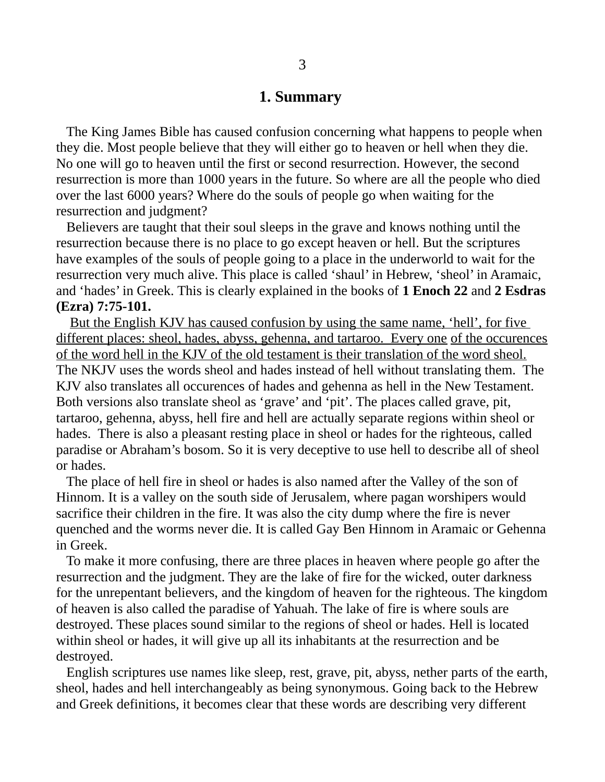#### **1. Summary**

 The King James Bible has caused confusion concerning what happens to people when they die. Most people believe that they will either go to heaven or hell when they die. No one will go to heaven until the first or second resurrection. However, the second resurrection is more than 1000 years in the future. So where are all the people who died over the last 6000 years? Where do the souls of people go when waiting for the resurrection and judgment?

 Believers are taught that their soul sleeps in the grave and knows nothing until the resurrection because there is no place to go except heaven or hell. But the scriptures have examples of the souls of people going to a place in the underworld to wait for the resurrection very much alive. This place is called 'shaul' in Hebrew, 'sheol' in Aramaic, and 'hades' in Greek. This is clearly explained in the books of **1 Enoch 22** and **2 Esdras (Ezra) 7:75-101.** 

 But the English KJV has caused confusion by using the same name, 'hell', for five different places: sheol, hades, abyss, gehenna, and tartaroo. Every one of the occurences of the word hell in the KJV of the old testament is their translation of the word sheol. The NKJV uses the words sheol and hades instead of hell without translating them. The KJV also translates all occurences of hades and gehenna as hell in the New Testament. Both versions also translate sheol as 'grave' and 'pit'. The places called grave, pit, tartaroo, gehenna, abyss, hell fire and hell are actually separate regions within sheol or hades. There is also a pleasant resting place in sheol or hades for the righteous, called paradise or Abraham's bosom. So it is very deceptive to use hell to describe all of sheol or hades.

 The place of hell fire in sheol or hades is also named after the Valley of the son of Hinnom. It is a valley on the south side of Jerusalem, where pagan worshipers would sacrifice their children in the fire. It was also the city dump where the fire is never quenched and the worms never die. It is called Gay Ben Hinnom in Aramaic or Gehenna in Greek.

 To make it more confusing, there are three places in heaven where people go after the resurrection and the judgment. They are the lake of fire for the wicked, outer darkness for the unrepentant believers, and the kingdom of heaven for the righteous. The kingdom of heaven is also called the paradise of Yahuah. The lake of fire is where souls are destroyed. These places sound similar to the regions of sheol or hades. Hell is located within sheol or hades, it will give up all its inhabitants at the resurrection and be destroyed.

 English scriptures use names like sleep, rest, grave, pit, abyss, nether parts of the earth, sheol, hades and hell interchangeably as being synonymous. Going back to the Hebrew and Greek definitions, it becomes clear that these words are describing very different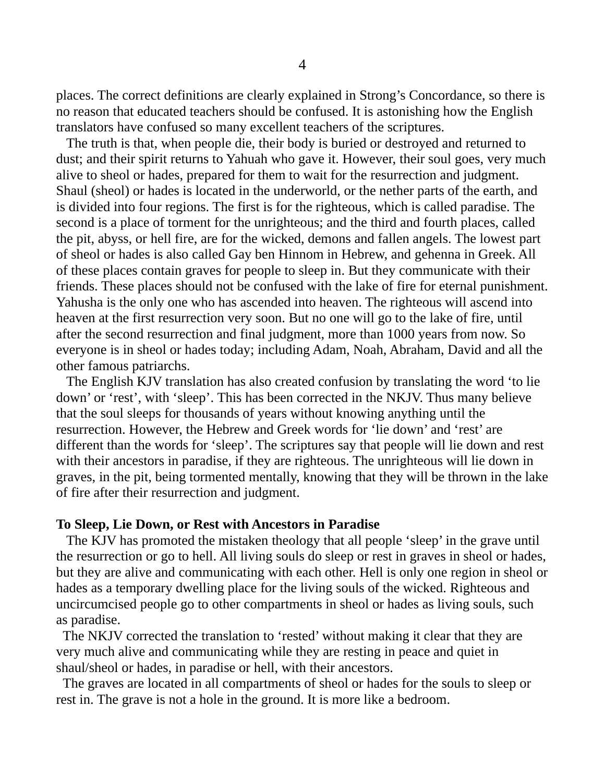places. The correct definitions are clearly explained in Strong's Concordance, so there is no reason that educated teachers should be confused. It is astonishing how the English translators have confused so many excellent teachers of the scriptures.

 The truth is that, when people die, their body is buried or destroyed and returned to dust; and their spirit returns to Yahuah who gave it. However, their soul goes, very much alive to sheol or hades, prepared for them to wait for the resurrection and judgment. Shaul (sheol) or hades is located in the underworld, or the nether parts of the earth, and is divided into four regions. The first is for the righteous, which is called paradise. The second is a place of torment for the unrighteous; and the third and fourth places, called the pit, abyss, or hell fire, are for the wicked, demons and fallen angels. The lowest part of sheol or hades is also called Gay ben Hinnom in Hebrew, and gehenna in Greek. All of these places contain graves for people to sleep in. But they communicate with their friends. These places should not be confused with the lake of fire for eternal punishment. Yahusha is the only one who has ascended into heaven. The righteous will ascend into heaven at the first resurrection very soon. But no one will go to the lake of fire, until after the second resurrection and final judgment, more than 1000 years from now. So everyone is in sheol or hades today; including Adam, Noah, Abraham, David and all the other famous patriarchs.

 The English KJV translation has also created confusion by translating the word 'to lie down' or 'rest', with 'sleep'. This has been corrected in the NKJV. Thus many believe that the soul sleeps for thousands of years without knowing anything until the resurrection. However, the Hebrew and Greek words for 'lie down' and 'rest' are different than the words for 'sleep'. The scriptures say that people will lie down and rest with their ancestors in paradise, if they are righteous. The unrighteous will lie down in graves, in the pit, being tormented mentally, knowing that they will be thrown in the lake of fire after their resurrection and judgment.

#### **To Sleep, Lie Down, or Rest with Ancestors in Paradise**

 The KJV has promoted the mistaken theology that all people 'sleep' in the grave until the resurrection or go to hell. All living souls do sleep or rest in graves in sheol or hades, but they are alive and communicating with each other. Hell is only one region in sheol or hades as a temporary dwelling place for the living souls of the wicked. Righteous and uncircumcised people go to other compartments in sheol or hades as living souls, such as paradise.

 The NKJV corrected the translation to 'rested' without making it clear that they are very much alive and communicating while they are resting in peace and quiet in shaul/sheol or hades, in paradise or hell, with their ancestors.

 The graves are located in all compartments of sheol or hades for the souls to sleep or rest in. The grave is not a hole in the ground. It is more like a bedroom.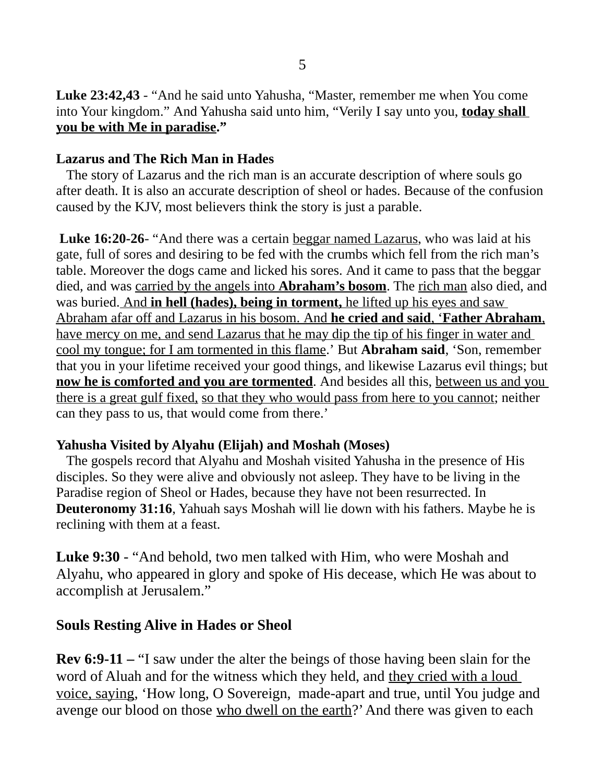#### **Lazarus and The Rich Man in Hades**

 The story of Lazarus and the rich man is an accurate description of where souls go after death. It is also an accurate description of sheol or hades. Because of the confusion caused by the KJV, most believers think the story is just a parable.

**Luke 16:20-26**- "And there was a certain beggar named Lazarus, who was laid at his gate, full of sores and desiring to be fed with the crumbs which fell from the rich man's table. Moreover the dogs came and licked his sores. And it came to pass that the beggar died, and was carried by the angels into **Abraham's bosom**. The rich man also died, and was buried.And **in hell (hades), being in torment,** he lifted up his eyes and saw Abraham afar off and Lazarus in his bosom. And he cried and said, 'Father Abraham, have mercy on me, and send Lazarus that he may dip the tip of his finger in water and cool my tongue; for I am tormented in this flame.' But **Abraham said**, 'Son, remember that you in your lifetime received your good things, and likewise Lazarus evil things; but **now he is comforted and you are tormented.** And besides all this, between us and you there is a great gulf fixed, so that they who would pass from here to you cannot; neither can they pass to us, that would come from there.'

#### **Yahusha Visited by Alyahu (Elijah) and Moshah (Moses)**

 The gospels record that Alyahu and Moshah visited Yahusha in the presence of His disciples. So they were alive and obviously not asleep. They have to be living in the Paradise region of Sheol or Hades, because they have not been resurrected. In **Deuteronomy 31:16**, Yahuah says Moshah will lie down with his fathers. Maybe he is reclining with them at a feast.

**Luke 9:30** - "And behold, two men talked with Him, who were Moshah and Alyahu, who appeared in glory and spoke of His decease, which He was about to accomplish at Jerusalem."

### **Souls Resting Alive in Hades or Sheol**

**Rev 6:9-11 –** "I saw under the alter the beings of those having been slain for the word of Aluah and for the witness which they held, and they cried with a loud voice, saying, 'How long, O Sovereign, made-apart and true, until You judge and avenge our blood on those who dwell on the earth?' And there was given to each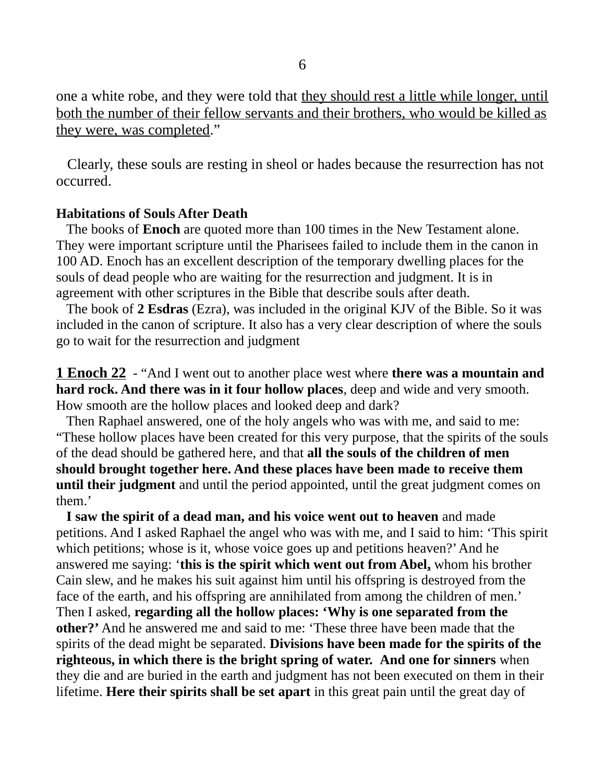one a white robe, and they were told that they should rest a little while longer, until both the number of their fellow servants and their brothers, who would be killed as they were, was completed."

 Clearly, these souls are resting in sheol or hades because the resurrection has not occurred.

#### **Habitations of Souls After Death**

 The books of **Enoch** are quoted more than 100 times in the New Testament alone. They were important scripture until the Pharisees failed to include them in the canon in 100 AD. Enoch has an excellent description of the temporary dwelling places for the souls of dead people who are waiting for the resurrection and judgment. It is in agreement with other scriptures in the Bible that describe souls after death.

 The book of **2 Esdras** (Ezra), was included in the original KJV of the Bible. So it was included in the canon of scripture. It also has a very clear description of where the souls go to wait for the resurrection and judgment

 **1 Enoch 22** - "And I went out to another place west where **there was a mountain and hard rock. And there was in it four hollow places**, deep and wide and very smooth. How smooth are the hollow places and looked deep and dark?

 Then Raphael answered, one of the holy angels who was with me, and said to me: "These hollow places have been created for this very purpose, that the spirits of the souls of the dead should be gathered here, and that **all the souls of the children of men should brought together here. And these places have been made to receive them until their judgment** and until the period appointed, until the great judgment comes on them.'

 **I saw the spirit of a dead man, and his voice went out to heaven** and made petitions. And I asked Raphael the angel who was with me, and I said to him: 'This spirit which petitions; whose is it, whose voice goes up and petitions heaven?' And he answered me saying: '**this is the spirit which went out from Abel,** whom his brother Cain slew, and he makes his suit against him until his offspring is destroyed from the face of the earth, and his offspring are annihilated from among the children of men.' Then I asked, **regarding all the hollow places: 'Why is one separated from the other?'** And he answered me and said to me: 'These three have been made that the spirits of the dead might be separated. **Divisions have been made for the spirits of the righteous, in which there is the bright spring of water. And one for sinners** when they die and are buried in the earth and judgment has not been executed on them in their lifetime. **Here their spirits shall be set apart** in this great pain until the great day of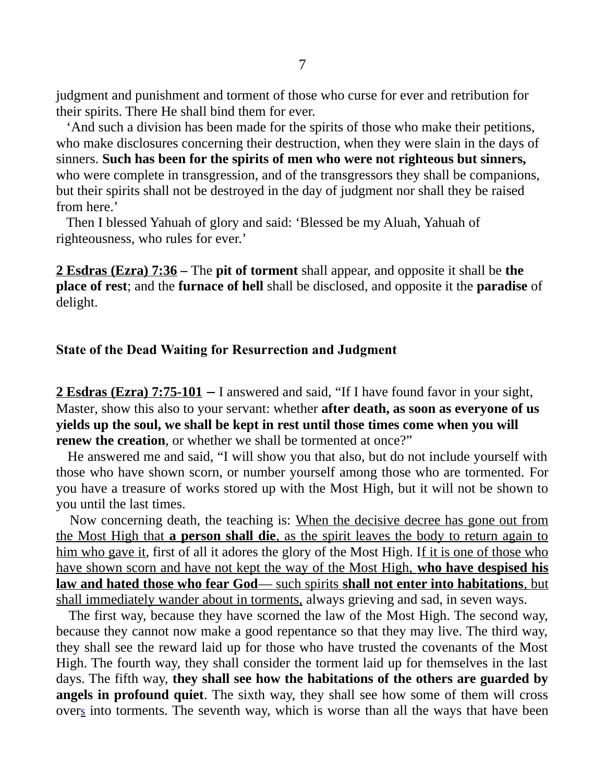judgment and punishment and torment of those who curse for ever and retribution for their spirits. There He shall bind them for ever.

 'And such a division has been made for the spirits of those who make their petitions, who make disclosures concerning their destruction, when they were slain in the days of sinners. **Such has been for the spirits of men who were not righteous but sinners,** who were complete in transgression, and of the transgressors they shall be companions, but their spirits shall not be destroyed in the day of judgment nor shall they be raised from here.'

 Then I blessed Yahuah of glory and said: 'Blessed be my Aluah, Yahuah of righteousness, who rules for ever.'

 **2 Esdras (Ezra) 7:36 –** The **pit of torment** shall appear, and opposite it shall be **the place of rest**; and the **furnace of hell** shall be disclosed, and opposite it the **paradise** of delight.

#### **State of the Dead Waiting for Resurrection and Judgment**

**2 Esdras (Ezra) 7:75-101** – I answered and said, "If I have found favor in your sight, Master, show this also to your servant: whether **after death, as soon as everyone of us yields up the soul, we shall be kept in rest until those times come when you will renew the creation**, or whether we shall be tormented at once?"

He answered me and said, "I will show you that also, but do not include yourself with those who have shown scorn, or number yourself among those who are tormented. For you have a treasure of works stored up with the Most High, but it will not be shown to you until the last times.

 Now concerning death, the teaching is: When the decisive decree has gone out from the Most High that **a person shall die**, as the spirit leaves the body to return again to him who gave it, first of all it adores the glory of the Most High. If it is one of those who have shown scorn and have not kept the way of the Most High, **who have despised his law and hated those who fear God** — such spirits shall not enter into habitations, but shall immediately wander about in torments, always grieving and sad, in seven ways.

 The first way, because they have scorned the law of the Most High. The second way, because they cannot now make a good repentance so that they may live. The third way, they shall see the reward laid up for those who have trusted the covenants of the Most High. The fourth way, they shall consider the torment laid up for themselves in the last days. The fifth way, **they shall see how the habitations of the others are guarded by angels in profound quiet**. The sixth way, they shall see how some of them will cross over[s](https://biblia.com/books/nrsv/2Esd7.75#) into torments. The seventh way, which is worse than all the ways that have been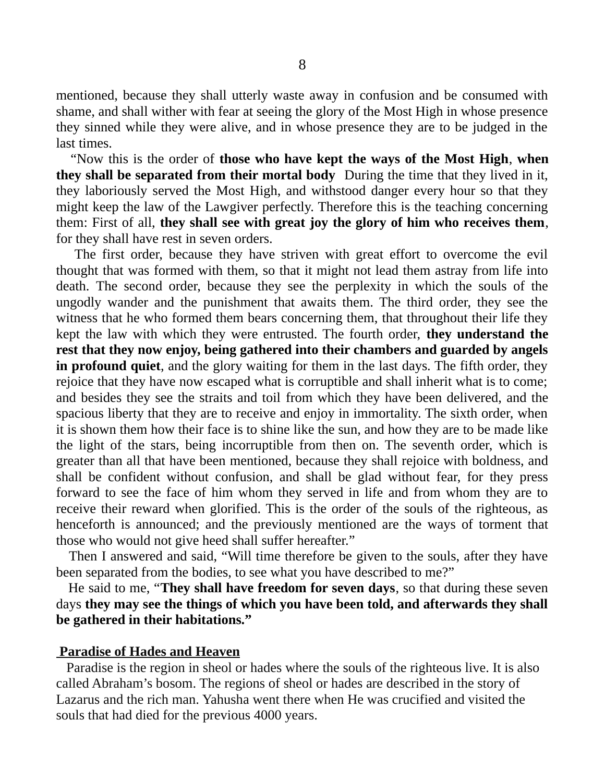mentioned, because they shall utterly waste away in confusion and be consumed with shame, and shall wither with fear at seeing the glory of the Most High in whose presence they sinned while they were alive, and in whose presence they are to be judged in the last times.

 "Now this is the order of **those who have kept the ways of the Most High**, **when they shall be separated from their mortal body** During the time that they lived in it, they laboriously served the Most High, and withstood danger every hour so that they might keep the law of the Lawgiver perfectly. Therefore this is the teaching concerning them: First of all, **they shall see with great joy the glory of him who receives them**, for they shall have rest in seven orders.

 The first order, because they have striven with great effort to overcome the evil thought that was formed with them, so that it might not lead them astray from life into death. The second order, because they see the perplexity in which the souls of the ungodly wander and the punishment that awaits them. The third order, they see the witness that he who formed them bears concerning them, that throughout their life they kept the law with which they were entrusted. The fourth order, **they understand the rest that they now enjoy, being gathered into their chambers and guarded by angels in profound quiet**, and the glory waiting for them in the last days. The fifth order, they rejoice that they have now escaped what is corruptible and shall inherit what is to come; and besides they see the straits and toil from which they have been delivered, and the spacious liberty that they are to receive and enjoy in immortality. The sixth order, when it is shown them how their face is to shine like the sun, and how they are to be made like the light of the stars, being incorruptible from then on. The seventh order, which is greater than all that have been mentioned, because they shall rejoice with boldness, and shall be confident without confusion, and shall be glad without fear, for they press forward to see the face of him whom they served in life and from whom they are to receive their reward when glorified. This is the order of the souls of the righteous, as henceforth is announced; and the previously mentioned are the ways of torment that those who would not give heed shall suffer hereafter."

 Then I answered and said, "Will time therefore be given to the souls, after they have been separated from the bodies, to see what you have described to me?"

He said to me, "**They shall have freedom for seven days**, so that during these seven days **they may see the things of which you have been told, and afterwards they shall be gathered in their habitations."**

#### **Paradise of Hades and Heaven**

 Paradise is the region in sheol or hades where the souls of the righteous live. It is also called Abraham's bosom. The regions of sheol or hades are described in the story of Lazarus and the rich man. Yahusha went there when He was crucified and visited the souls that had died for the previous 4000 years.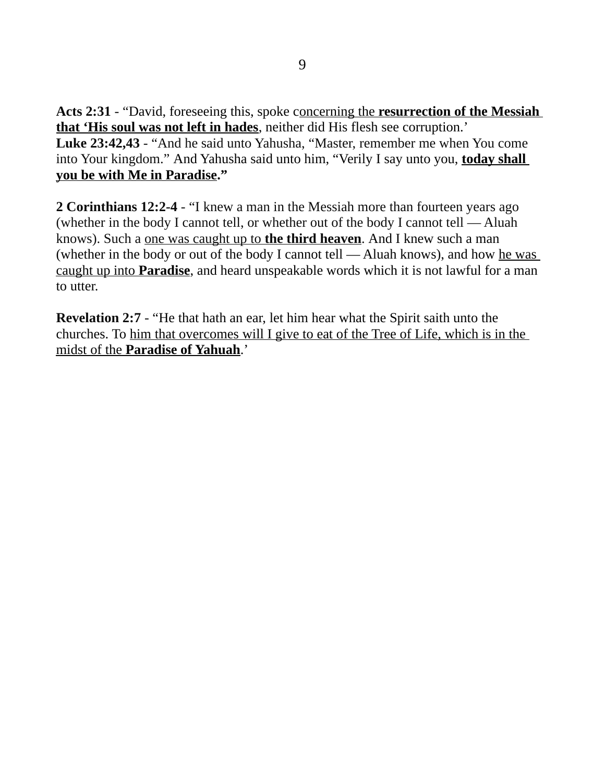Acts 2:31 - "David, foreseeing this, spoke concerning the **resurrection of the Messiah that 'His soul was not left in hades**, neither did His flesh see corruption.' **Luke 23:42,43** - "And he said unto Yahusha, "Master, remember me when You come into Your kingdom." And Yahusha said unto him, "Verily I say unto you, **today shall you be with Me in Paradise."** 

**2 Corinthians 12:2-4** - "I knew a man in the Messiah more than fourteen years ago (whether in the body I cannot tell, or whether out of the body I cannot tell — Aluah knows). Such a <u>one was caught up to **the third heaven**</u>. And I knew such a man (whether in the body or out of the body I cannot tell  $-$  Aluah knows), and how he was caught up into **Paradise**, and heard unspeakable words which it is not lawful for a man to utter.

**Revelation 2:7** - "He that hath an ear, let him hear what the Spirit saith unto the churches. To him that overcomes will I give to eat of the Tree of Life, which is in the midst of the **Paradise of Yahuah.'**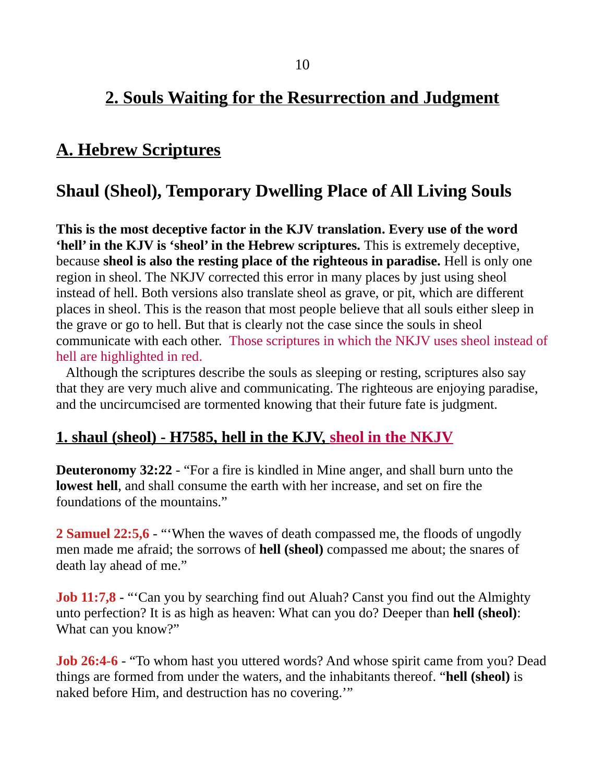## **2. Souls Waiting for the Resurrection and Judgment**

### **A. Hebrew Scriptures**

## **Shaul (Sheol), Temporary Dwelling Place of All Living Souls**

**This is the most deceptive factor in the KJV translation. Every use of the word 'hell' in the KJV is 'sheol' in the Hebrew scriptures.** This is extremely deceptive, because **sheol is also the resting place of the righteous in paradise.** Hell is only one region in sheol. The NKJV corrected this error in many places by just using sheol instead of hell. Both versions also translate sheol as grave, or pit, which are different places in sheol. This is the reason that most people believe that all souls either sleep in the grave or go to hell. But that is clearly not the case since the souls in sheol communicate with each other. Those scriptures in which the NKJV uses sheol instead of hell are highlighted in red.

 Although the scriptures describe the souls as sleeping or resting, scriptures also say that they are very much alive and communicating. The righteous are enjoying paradise, and the uncircumcised are tormented knowing that their future fate is judgment.

#### **1. shaul (sheol) - H7585, hell in the KJV, sheol in the NKJV**

**Deuteronomy 32:22** - "For a fire is kindled in Mine anger, and shall burn unto the **lowest hell**, and shall consume the earth with her increase, and set on fire the foundations of the mountains."

**2 Samuel 22:5,6** - "'When the waves of death compassed me, the floods of ungodly men made me afraid; the sorrows of **hell (sheol)** compassed me about; the snares of death lay ahead of me."

**Job 11:7,8** - "'Can you by searching find out Aluah? Canst you find out the Almighty unto perfection? It is as high as heaven: What can you do? Deeper than **hell (sheol)**: What can you know?"

**Job 26:4-6** - "To whom hast you uttered words? And whose spirit came from you? Dead things are formed from under the waters, and the inhabitants thereof. "**hell (sheol)** is naked before Him, and destruction has no covering.'"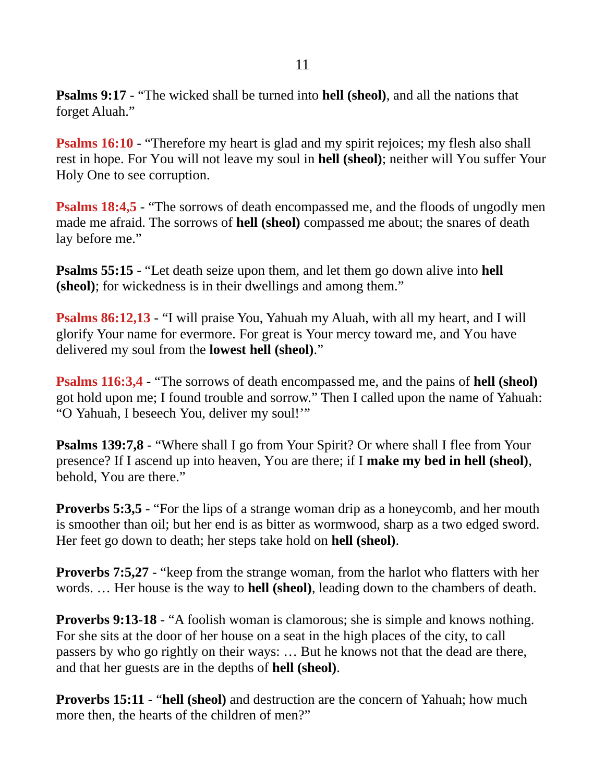**Psalms 16:10** - "Therefore my heart is glad and my spirit rejoices; my flesh also shall rest in hope. For You will not leave my soul in **hell (sheol)**; neither will You suffer Your Holy One to see corruption.

**Psalms 18:4,5** - "The sorrows of death encompassed me, and the floods of ungodly men made me afraid. The sorrows of **hell (sheol)** compassed me about; the snares of death lay before me."

**Psalms 55:15** - "Let death seize upon them, and let them go down alive into **hell (sheol)**; for wickedness is in their dwellings and among them."

**Psalms 86:12,13** - "I will praise You, Yahuah my Aluah, with all my heart, and I will glorify Your name for evermore. For great is Your mercy toward me, and You have delivered my soul from the **lowest hell (sheol)**."

**Psalms 116:3,4** - "The sorrows of death encompassed me, and the pains of **hell (sheol)**  got hold upon me; I found trouble and sorrow." Then I called upon the name of Yahuah: "O Yahuah, I beseech You, deliver my soul!'"

**Psalms 139:7,8** - "Where shall I go from Your Spirit? Or where shall I flee from Your presence? If I ascend up into heaven, You are there; if I **make my bed in hell (sheol)**, behold, You are there."

**Proverbs 5:3,5** - "For the lips of a strange woman drip as a honeycomb, and her mouth is smoother than oil; but her end is as bitter as wormwood, sharp as a two edged sword. Her feet go down to death; her steps take hold on **hell (sheol)**.

**Proverbs 7:5,27** - "keep from the strange woman, from the harlot who flatters with her words. … Her house is the way to **hell (sheol)**, leading down to the chambers of death.

**Proverbs 9:13-18** - "A foolish woman is clamorous; she is simple and knows nothing. For she sits at the door of her house on a seat in the high places of the city, to call passers by who go rightly on their ways: … But he knows not that the dead are there, and that her guests are in the depths of **hell (sheol)**.

**Proverbs 15:11 - "hell (sheol)** and destruction are the concern of Yahuah; how much more then, the hearts of the children of men?"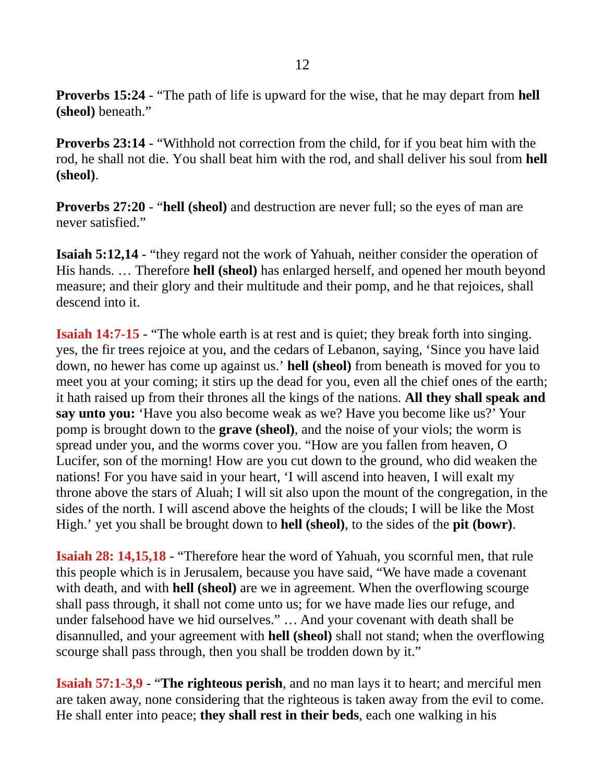**Proverbs 15:24** - "The path of life is upward for the wise, that he may depart from **hell (sheol)** beneath."

**Proverbs 23:14 - "Withhold not correction from the child, for if you beat him with the** rod, he shall not die. You shall beat him with the rod, and shall deliver his soul from **hell (sheol)**.

**Proverbs 27:20** - "**hell (sheol)** and destruction are never full; so the eyes of man are never satisfied."

**Isaiah 5:12,14** - "they regard not the work of Yahuah, neither consider the operation of His hands. … Therefore **hell (sheol)** has enlarged herself, and opened her mouth beyond measure; and their glory and their multitude and their pomp, and he that rejoices, shall descend into it.

**Isaiah 14:7-15** - "The whole earth is at rest and is quiet; they break forth into singing. yes, the fir trees rejoice at you, and the cedars of Lebanon, saying, 'Since you have laid down, no hewer has come up against us.' **hell (sheol)** from beneath is moved for you to meet you at your coming; it stirs up the dead for you, even all the chief ones of the earth; it hath raised up from their thrones all the kings of the nations. **All they shall speak and say unto you:** 'Have you also become weak as we? Have you become like us?' Your pomp is brought down to the **grave (sheol)**, and the noise of your viols; the worm is spread under you, and the worms cover you. "How are you fallen from heaven, O Lucifer, son of the morning! How are you cut down to the ground, who did weaken the nations! For you have said in your heart, 'I will ascend into heaven, I will exalt my throne above the stars of Aluah; I will sit also upon the mount of the congregation, in the sides of the north. I will ascend above the heights of the clouds; I will be like the Most High.' yet you shall be brought down to **hell (sheol)**, to the sides of the **pit (bowr)**.

**Isaiah 28: 14,15,18** - "Therefore hear the word of Yahuah, you scornful men, that rule this people which is in Jerusalem, because you have said, "We have made a covenant with death, and with **hell (sheol)** are we in agreement. When the overflowing scourge shall pass through, it shall not come unto us; for we have made lies our refuge, and under falsehood have we hid ourselves." … And your covenant with death shall be disannulled, and your agreement with **hell (sheol)** shall not stand; when the overflowing scourge shall pass through, then you shall be trodden down by it."

**Isaiah 57:1-3,9** - "**The righteous perish**, and no man lays it to heart; and merciful men are taken away, none considering that the righteous is taken away from the evil to come. He shall enter into peace; **they shall rest in their beds**, each one walking in his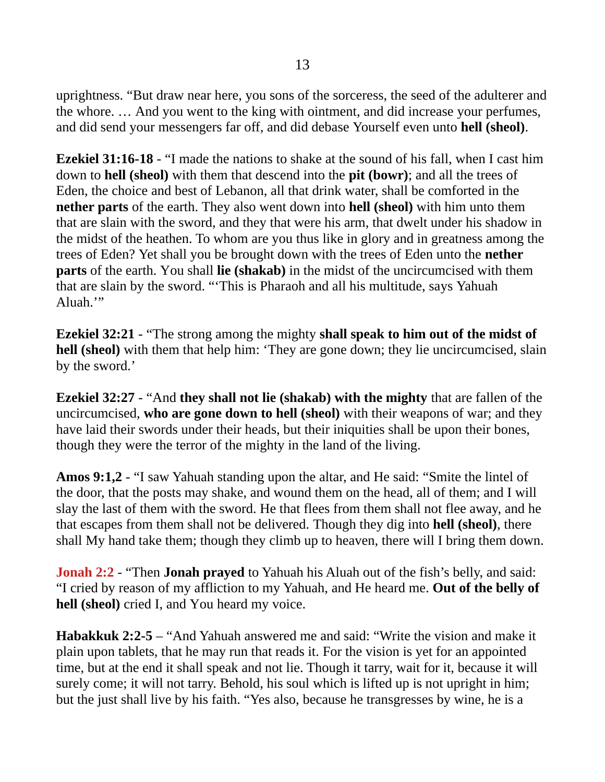uprightness. "But draw near here, you sons of the sorceress, the seed of the adulterer and the whore. … And you went to the king with ointment, and did increase your perfumes, and did send your messengers far off, and did debase Yourself even unto **hell (sheol)**.

**Ezekiel 31:16-18** - "I made the nations to shake at the sound of his fall, when I cast him down to **hell (sheol)** with them that descend into the **pit (bowr)**; and all the trees of Eden, the choice and best of Lebanon, all that drink water, shall be comforted in the **nether parts** of the earth. They also went down into **hell (sheol)** with him unto them that are slain with the sword, and they that were his arm, that dwelt under his shadow in the midst of the heathen. To whom are you thus like in glory and in greatness among the trees of Eden? Yet shall you be brought down with the trees of Eden unto the **nether parts** of the earth. You shall **lie (shakab)** in the midst of the uncircumcised with them that are slain by the sword. "'This is Pharaoh and all his multitude, says Yahuah Aluah.'"

**Ezekiel 32:21** - "The strong among the mighty **shall speak to him out of the midst of hell (sheol)** with them that help him: 'They are gone down; they lie uncircumcised, slain by the sword.'

**Ezekiel 32:27** - "And **they shall not lie (shakab) with the mighty** that are fallen of the uncircumcised, **who are gone down to hell (sheol)** with their weapons of war; and they have laid their swords under their heads, but their iniquities shall be upon their bones, though they were the terror of the mighty in the land of the living.

**Amos 9:1,2** - "I saw Yahuah standing upon the altar, and He said: "Smite the lintel of the door, that the posts may shake, and wound them on the head, all of them; and I will slay the last of them with the sword. He that flees from them shall not flee away, and he that escapes from them shall not be delivered. Though they dig into **hell (sheol)**, there shall My hand take them; though they climb up to heaven, there will I bring them down.

**Jonah 2:2** - "Then **Jonah prayed** to Yahuah his Aluah out of the fish's belly, and said: "I cried by reason of my affliction to my Yahuah, and He heard me. **Out of the belly of hell (sheol)** cried I, and You heard my voice.

**Habakkuk 2:2-5** – "And Yahuah answered me and said: "Write the vision and make it plain upon tablets, that he may run that reads it. For the vision is yet for an appointed time, but at the end it shall speak and not lie. Though it tarry, wait for it, because it will surely come; it will not tarry. Behold, his soul which is lifted up is not upright in him; but the just shall live by his faith. "Yes also, because he transgresses by wine, he is a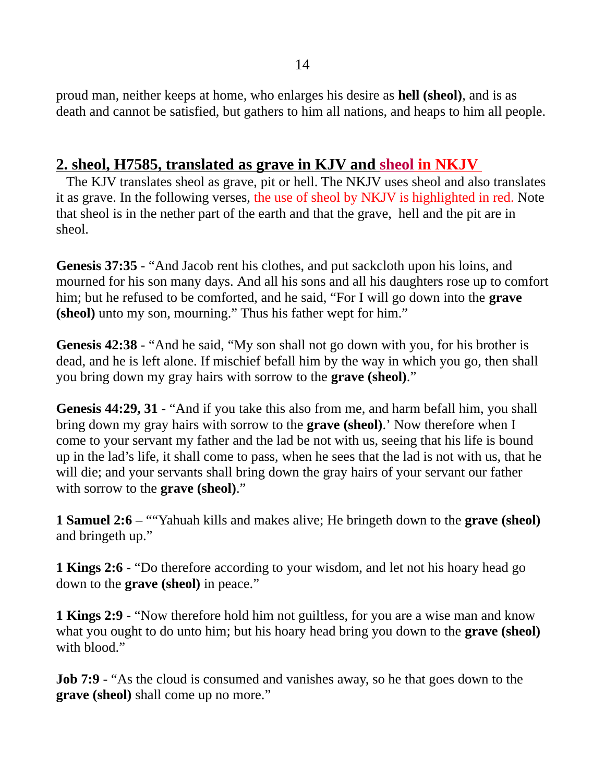proud man, neither keeps at home, who enlarges his desire as **hell (sheol)**, and is as death and cannot be satisfied, but gathers to him all nations, and heaps to him all people.

#### **2. sheol, H7585, translated as grave in KJV and sheol in NKJV**

 The KJV translates sheol as grave, pit or hell. The NKJV uses sheol and also translates it as grave. In the following verses, the use of sheol by NKJV is highlighted in red. Note that sheol is in the nether part of the earth and that the grave, hell and the pit are in sheol.

**Genesis 37:35** - "And Jacob rent his clothes, and put sackcloth upon his loins, and mourned for his son many days. And all his sons and all his daughters rose up to comfort him; but he refused to be comforted, and he said, "For I will go down into the **grave (sheol)** unto my son, mourning." Thus his father wept for him."

**Genesis 42:38** - "And he said, "My son shall not go down with you, for his brother is dead, and he is left alone. If mischief befall him by the way in which you go, then shall you bring down my gray hairs with sorrow to the **grave (sheol)**."

**Genesis 44:29, 31** - "And if you take this also from me, and harm befall him, you shall bring down my gray hairs with sorrow to the **grave (sheol)**.' Now therefore when I come to your servant my father and the lad be not with us, seeing that his life is bound up in the lad's life, it shall come to pass, when he sees that the lad is not with us, that he will die; and your servants shall bring down the gray hairs of your servant our father with sorrow to the **grave (sheol)**."

**1 Samuel 2:6** – ""Yahuah kills and makes alive; He bringeth down to the **grave (sheol)** and bringeth up."

**1 Kings 2:6** - "Do therefore according to your wisdom, and let not his hoary head go down to the **grave (sheol)** in peace."

**1 Kings 2:9** - "Now therefore hold him not guiltless, for you are a wise man and know what you ought to do unto him; but his hoary head bring you down to the **grave (sheol)** with blood."

**Job 7:9** - "As the cloud is consumed and vanishes away, so he that goes down to the **grave (sheol)** shall come up no more."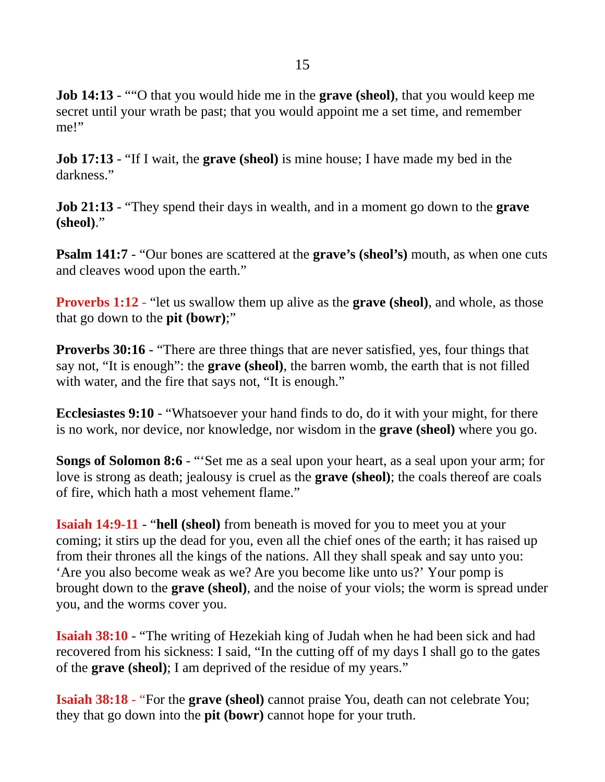**Job 17:13** - "If I wait, the **grave (sheol)** is mine house; I have made my bed in the darkness."

**Job 21:13** - "They spend their days in wealth, and in a moment go down to the **grave (sheol)**."

**Psalm 141:7** - "Our bones are scattered at the **grave's (sheol's)** mouth, as when one cuts and cleaves wood upon the earth."

**Proverbs 1:12** - "let us swallow them up alive as the **grave (sheol)**, and whole, as those that go down to the **pit (bowr)**;"

**Proverbs 30:16** - "There are three things that are never satisfied, yes, four things that say not, "It is enough": the **grave (sheol)**, the barren womb, the earth that is not filled with water, and the fire that says not, "It is enough."

**Ecclesiastes 9:10** - "Whatsoever your hand finds to do, do it with your might, for there is no work, nor device, nor knowledge, nor wisdom in the **grave (sheol)** where you go.

**Songs of Solomon 8:6** - "'Set me as a seal upon your heart, as a seal upon your arm; for love is strong as death; jealousy is cruel as the **grave (sheol)**; the coals thereof are coals of fire, which hath a most vehement flame."

**Isaiah 14:9-11** - "**hell (sheol)** from beneath is moved for you to meet you at your coming; it stirs up the dead for you, even all the chief ones of the earth; it has raised up from their thrones all the kings of the nations. All they shall speak and say unto you: 'Are you also become weak as we? Are you become like unto us?' Your pomp is brought down to the **grave (sheol)**, and the noise of your viols; the worm is spread under you, and the worms cover you.

**Isaiah 38:10** - "The writing of Hezekiah king of Judah when he had been sick and had recovered from his sickness: I said, "In the cutting off of my days I shall go to the gates of the **grave (sheol)**; I am deprived of the residue of my years."

**Isaiah 38:18** - "For the **grave (sheol)** cannot praise You, death can not celebrate You; they that go down into the **pit (bowr)** cannot hope for your truth.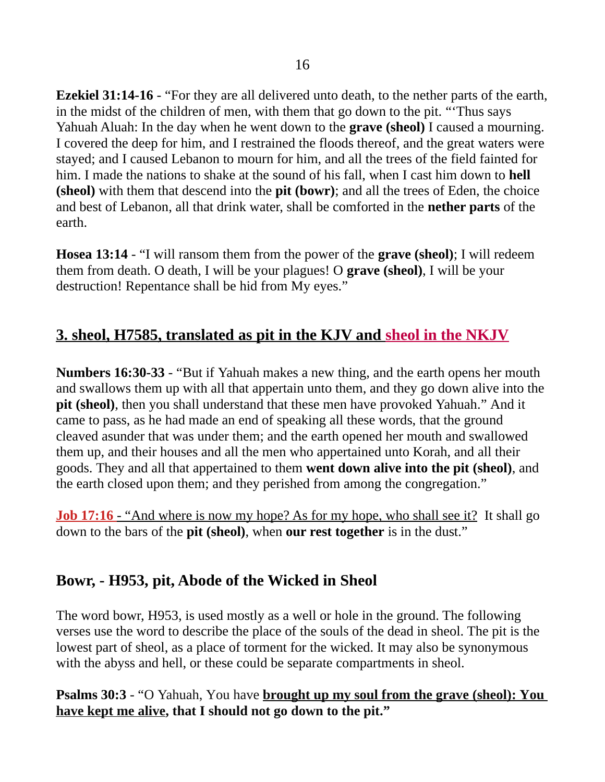**Ezekiel 31:14-16** - "For they are all delivered unto death, to the nether parts of the earth, in the midst of the children of men, with them that go down to the pit. "'Thus says Yahuah Aluah: In the day when he went down to the **grave (sheol)** I caused a mourning. I covered the deep for him, and I restrained the floods thereof, and the great waters were stayed; and I caused Lebanon to mourn for him, and all the trees of the field fainted for him. I made the nations to shake at the sound of his fall, when I cast him down to **hell (sheol)** with them that descend into the **pit (bowr)**; and all the trees of Eden, the choice and best of Lebanon, all that drink water, shall be comforted in the **nether parts** of the earth.

**Hosea 13:14** - "I will ransom them from the power of the **grave (sheol)**; I will redeem them from death. O death, I will be your plagues! O **grave (sheol)**, I will be your destruction! Repentance shall be hid from My eyes."

### **3. sheol, H7585, translated as pit in the KJV and sheol in the NKJV**

**Numbers 16:30-33** - "But if Yahuah makes a new thing, and the earth opens her mouth and swallows them up with all that appertain unto them, and they go down alive into the **pit (sheol)**, then you shall understand that these men have provoked Yahuah." And it came to pass, as he had made an end of speaking all these words, that the ground cleaved asunder that was under them; and the earth opened her mouth and swallowed them up, and their houses and all the men who appertained unto Korah, and all their goods. They and all that appertained to them **went down alive into the pit (sheol)**, and the earth closed upon them; and they perished from among the congregation."

**Job 17:16** - "And where is now my hope? As for my hope, who shall see it? It shall go down to the bars of the **pit (sheol)**, when **our rest together** is in the dust."

### **Bowr, - H953, pit, Abode of the Wicked in Sheol**

The word bowr, H953, is used mostly as a well or hole in the ground. The following verses use the word to describe the place of the souls of the dead in sheol. The pit is the lowest part of sheol, as a place of torment for the wicked. It may also be synonymous with the abyss and hell, or these could be separate compartments in sheol.

**Psalms 30:3** - "O Yahuah, You have **brought up my soul from the grave (sheol): You** have kept me alive, that I should not go down to the pit."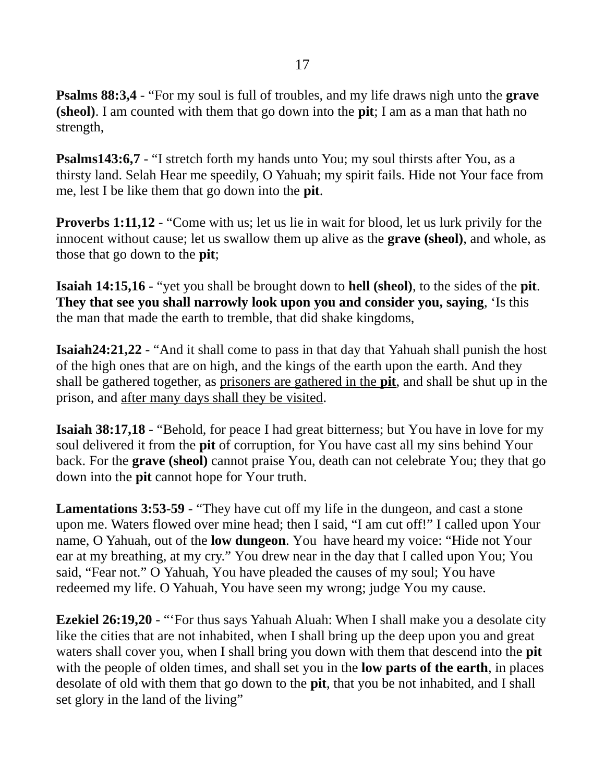**Psalms 88:3,4** - "For my soul is full of troubles, and my life draws nigh unto the **grave (sheol)**. I am counted with them that go down into the **pit**; I am as a man that hath no strength,

**Psalms143:6,7** - "I stretch forth my hands unto You; my soul thirsts after You, as a thirsty land. Selah Hear me speedily, O Yahuah; my spirit fails. Hide not Your face from me, lest I be like them that go down into the **pit**.

**Proverbs 1:11,12** - "Come with us; let us lie in wait for blood, let us lurk privily for the innocent without cause; let us swallow them up alive as the **grave (sheol)**, and whole, as those that go down to the **pit**;

**Isaiah 14:15,16** - "yet you shall be brought down to **hell (sheol)**, to the sides of the **pit**. **They that see you shall narrowly look upon you and consider you, saying**, 'Is this the man that made the earth to tremble, that did shake kingdoms,

**Isaiah24:21,22** - "And it shall come to pass in that day that Yahuah shall punish the host of the high ones that are on high, and the kings of the earth upon the earth. And they shall be gathered together, as prisoners are gathered in the **pit**, and shall be shut up in the prison, and after many days shall they be visited.

**Isaiah 38:17,18** - "Behold, for peace I had great bitterness; but You have in love for my soul delivered it from the **pit** of corruption, for You have cast all my sins behind Your back. For the **grave (sheol)** cannot praise You, death can not celebrate You; they that go down into the **pit** cannot hope for Your truth.

**Lamentations 3:53-59** - "They have cut off my life in the dungeon, and cast a stone upon me. Waters flowed over mine head; then I said, "I am cut off!" I called upon Your name, O Yahuah, out of the **low dungeon**. You have heard my voice: "Hide not Your ear at my breathing, at my cry." You drew near in the day that I called upon You; You said, "Fear not." O Yahuah, You have pleaded the causes of my soul; You have redeemed my life. O Yahuah, You have seen my wrong; judge You my cause.

**Ezekiel 26:19,20** - "'For thus says Yahuah Aluah: When I shall make you a desolate city like the cities that are not inhabited, when I shall bring up the deep upon you and great waters shall cover you, when I shall bring you down with them that descend into the **pit**  with the people of olden times, and shall set you in the **low parts of the earth**, in places desolate of old with them that go down to the **pit**, that you be not inhabited, and I shall set glory in the land of the living"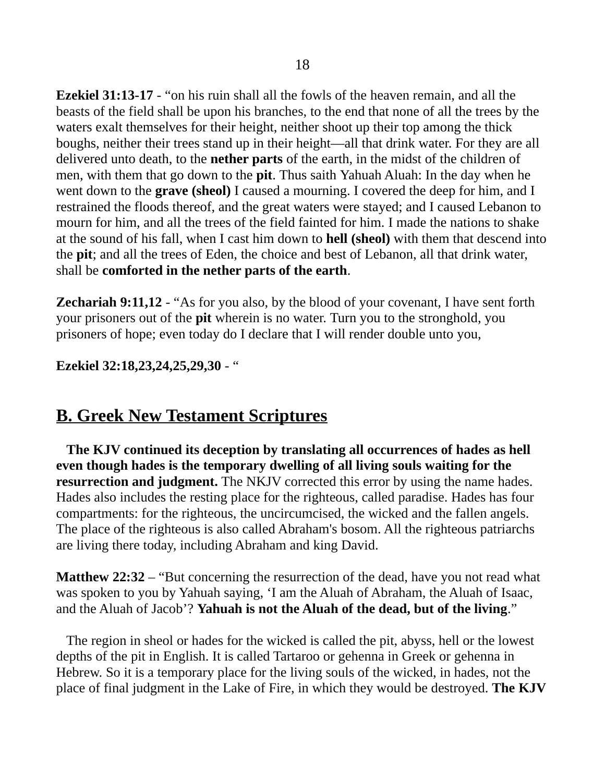**Ezekiel 31:13-17** - "on his ruin shall all the fowls of the heaven remain, and all the beasts of the field shall be upon his branches, to the end that none of all the trees by the waters exalt themselves for their height, neither shoot up their top among the thick boughs, neither their trees stand up in their height—all that drink water. For they are all delivered unto death, to the **nether parts** of the earth, in the midst of the children of men, with them that go down to the **pit**. Thus saith Yahuah Aluah: In the day when he went down to the **grave (sheol)** I caused a mourning. I covered the deep for him, and I restrained the floods thereof, and the great waters were stayed; and I caused Lebanon to mourn for him, and all the trees of the field fainted for him. I made the nations to shake at the sound of his fall, when I cast him down to **hell (sheol)** with them that descend into the **pit**; and all the trees of Eden, the choice and best of Lebanon, all that drink water, shall be **comforted in the nether parts of the earth**.

**Zechariah 9:11,12** - "As for you also, by the blood of your covenant, I have sent forth your prisoners out of the **pit** wherein is no water. Turn you to the stronghold, you prisoners of hope; even today do I declare that I will render double unto you,

**Ezekiel 32:18,23,24,25,29,30** - "

## **B. Greek New Testament Scriptures**

 **The KJV continued its deception by translating all occurrences of hades as hell even though hades is the temporary dwelling of all living souls waiting for the resurrection and judgment.** The NKJV corrected this error by using the name hades. Hades also includes the resting place for the righteous, called paradise. Hades has four compartments: for the righteous, the uncircumcised, the wicked and the fallen angels. The place of the righteous is also called Abraham's bosom. All the righteous patriarchs are living there today, including Abraham and king David.

**Matthew 22:32** – "But concerning the resurrection of the dead, have you not read what was spoken to you by Yahuah saying, 'I am the Aluah of Abraham, the Aluah of Isaac, and the Aluah of Jacob'? **Yahuah is not the Aluah of the dead, but of the living**."

 The region in sheol or hades for the wicked is called the pit, abyss, hell or the lowest depths of the pit in English. It is called Tartaroo or gehenna in Greek or gehenna in Hebrew. So it is a temporary place for the living souls of the wicked, in hades, not the place of final judgment in the Lake of Fire, in which they would be destroyed. **The KJV**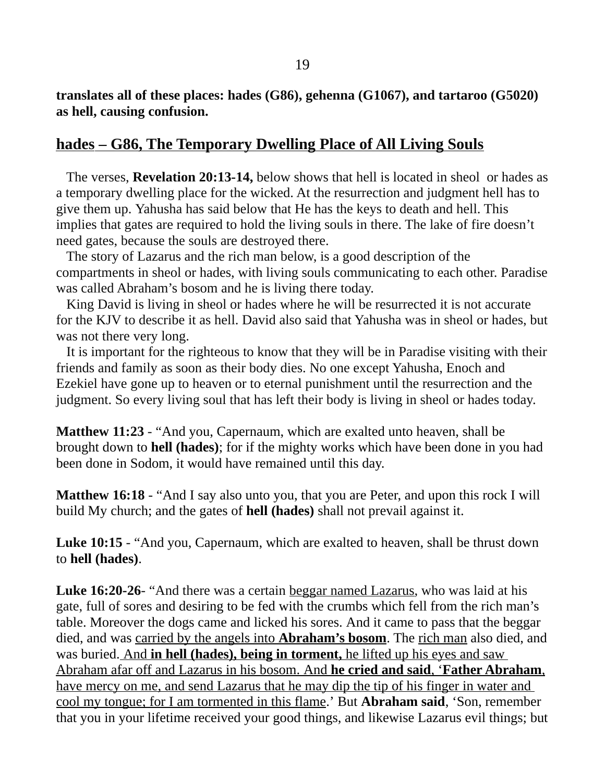**translates all of these places: hades (G86), gehenna (G1067), and tartaroo (G5020) as hell, causing confusion.**

#### **hades – G86, The Temporary Dwelling Place of All Living Souls**

 The verses, **Revelation 20:13-14,** below shows that hell is located in sheol or hades as a temporary dwelling place for the wicked. At the resurrection and judgment hell has to give them up. Yahusha has said below that He has the keys to death and hell. This implies that gates are required to hold the living souls in there. The lake of fire doesn't need gates, because the souls are destroyed there.

 The story of Lazarus and the rich man below, is a good description of the compartments in sheol or hades, with living souls communicating to each other. Paradise was called Abraham's bosom and he is living there today.

 King David is living in sheol or hades where he will be resurrected it is not accurate for the KJV to describe it as hell. David also said that Yahusha was in sheol or hades, but was not there very long.

 It is important for the righteous to know that they will be in Paradise visiting with their friends and family as soon as their body dies. No one except Yahusha, Enoch and Ezekiel have gone up to heaven or to eternal punishment until the resurrection and the judgment. So every living soul that has left their body is living in sheol or hades today.

**Matthew 11:23** - "And you, Capernaum, which are exalted unto heaven, shall be brought down to **hell (hades)**; for if the mighty works which have been done in you had been done in Sodom, it would have remained until this day.

**Matthew 16:18** - "And I say also unto you, that you are Peter, and upon this rock I will build My church; and the gates of **hell (hades)** shall not prevail against it.

**Luke 10:15** - "And you, Capernaum, which are exalted to heaven, shall be thrust down to **hell (hades)**.

**Luke 16:20-26**- "And there was a certain beggar named Lazarus, who was laid at his gate, full of sores and desiring to be fed with the crumbs which fell from the rich man's table. Moreover the dogs came and licked his sores. And it came to pass that the beggar died, and was carried by the angels into **Abraham's bosom**. The rich man also died, and was buried.And **in hell (hades), being in torment,** he lifted up his eyes and saw Abraham afar off and Lazarus in his bosom. And **he cried and said** , ' **Father Abraham**, have mercy on me, and send Lazarus that he may dip the tip of his finger in water and cool my tongue; for I am tormented in this flame.' But **Abraham said**, 'Son, remember that you in your lifetime received your good things, and likewise Lazarus evil things; but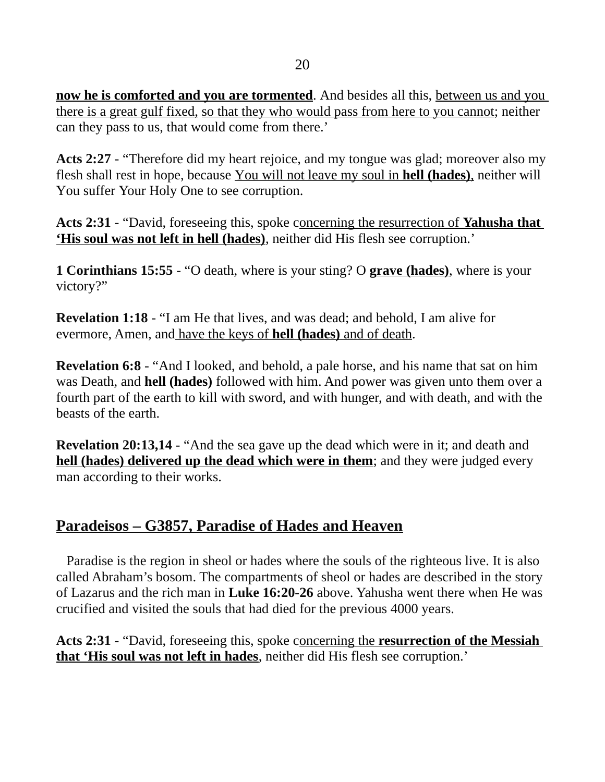**now he is comforted and you are tormented.** And besides all this, between us and you there is a great gulf fixed, so that they who would pass from here to you cannot; neither can they pass to us, that would come from there.'

**Acts 2:27** - "Therefore did my heart rejoice, and my tongue was glad; moreover also my flesh shall rest in hope, because You will not leave my soul in **hell (hades)**, neither will You suffer Your Holy One to see corruption.

Acts 2:31 - "David, foreseeing this, spoke concerning the resurrection of **Yahusha that 'His soul was not left in hell (hades)**, neither did His flesh see corruption.'

**1 Corinthians 15:55** - "O death, where is your sting? O **grave (hades)**, where is your victory?"

**Revelation 1:18** - "I am He that lives, and was dead; and behold, I am alive for evermore, Amen, and have the keys of **hell (hades)** and of death.

**Revelation 6:8** - "And I looked, and behold, a pale horse, and his name that sat on him was Death, and **hell (hades)** followed with him. And power was given unto them over a fourth part of the earth to kill with sword, and with hunger, and with death, and with the beasts of the earth.

**Revelation 20:13,14** - "And the sea gave up the dead which were in it; and death and **hell (hades) delivered up the dead which were in them**; and they were judged every man according to their works.

## **Paradeisos – G3857, Paradise of Hades and Heaven**

 Paradise is the region in sheol or hades where the souls of the righteous live. It is also called Abraham's bosom. The compartments of sheol or hades are described in the story of Lazarus and the rich man in **Luke 16:20-26** above. Yahusha went there when He was crucified and visited the souls that had died for the previous 4000 years.

Acts 2:31 - "David, foreseeing this, spoke concerning the **resurrection of the Messiah that 'His soul was not left in hades**, neither did His flesh see corruption.'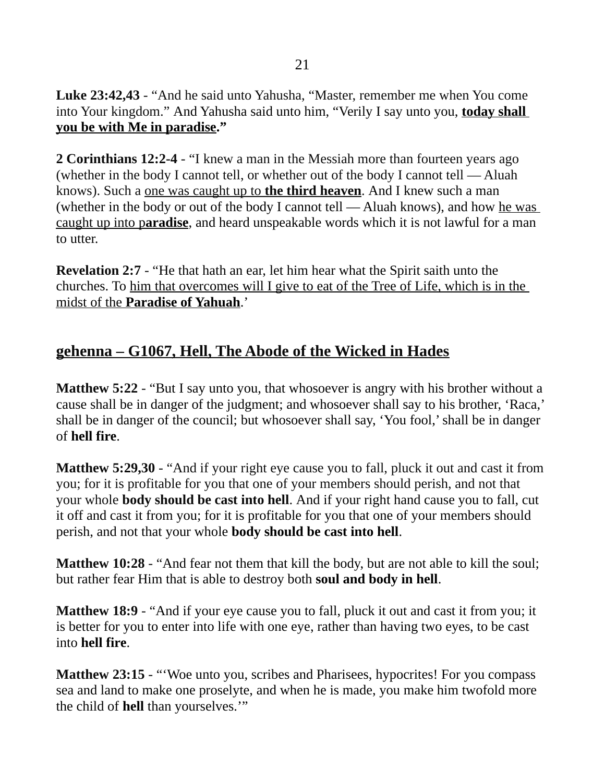**Luke 23:42,43** - "And he said unto Yahusha, "Master, remember me when You come into Your kingdom." And Yahusha said unto him, "Verily I say unto you, **today shall you be with Me in paradise."** 

**2 Corinthians 12:2-4** - "I knew a man in the Messiah more than fourteen years ago (whether in the body I cannot tell, or whether out of the body I cannot tell — Aluah knows). Such a one was caught up to **the third heaven**. And I knew such a man (whether in the body or out of the body I cannot tell — Aluah knows), and how he was caught up into paradise, and heard unspeakable words which it is not lawful for a man to utter.

**Revelation 2:7** - "He that hath an ear, let him hear what the Spirit saith unto the churches. To him that overcomes will I give to eat of the Tree of Life, which is in the midst of the **Paradise of Yahuah**.'

## **gehenna – G1067, Hell, The Abode of the Wicked in Hades**

**Matthew 5:22** - "But I say unto you, that whosoever is angry with his brother without a cause shall be in danger of the judgment; and whosoever shall say to his brother, 'Raca,' shall be in danger of the council; but whosoever shall say, 'You fool,' shall be in danger of **hell fire**.

**Matthew 5:29,30** - "And if your right eye cause you to fall, pluck it out and cast it from you; for it is profitable for you that one of your members should perish, and not that your whole **body should be cast into hell**. And if your right hand cause you to fall, cut it off and cast it from you; for it is profitable for you that one of your members should perish, and not that your whole **body should be cast into hell**.

**Matthew 10:28** - "And fear not them that kill the body, but are not able to kill the soul; but rather fear Him that is able to destroy both **soul and body in hell**.

**Matthew 18:9** - "And if your eye cause you to fall, pluck it out and cast it from you; it is better for you to enter into life with one eye, rather than having two eyes, to be cast into **hell fire**.

**Matthew 23:15** - "Woe unto you, scribes and Pharisees, hypocrites! For you compass sea and land to make one proselyte, and when he is made, you make him twofold more the child of **hell** than yourselves.'"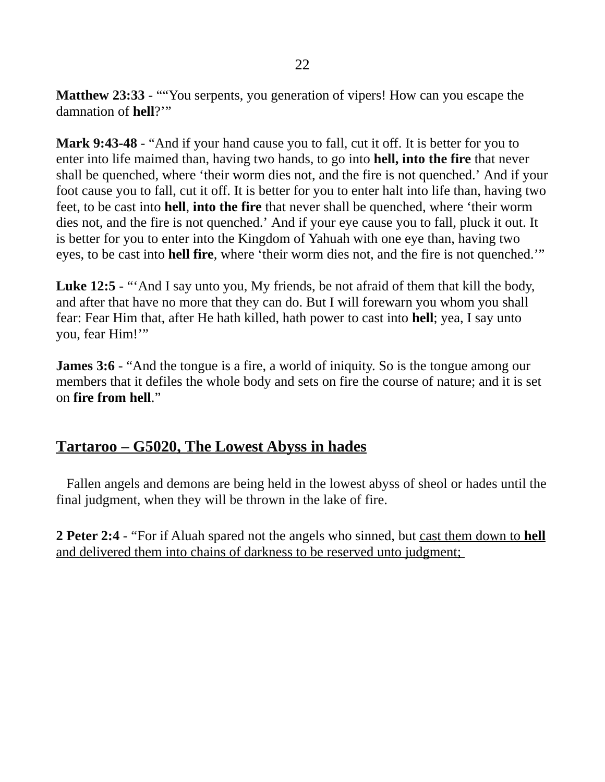**Matthew 23:33** - ""You serpents, you generation of vipers! How can you escape the damnation of **hell**?'"

**Mark 9:43-48** - "And if your hand cause you to fall, cut it off. It is better for you to enter into life maimed than, having two hands, to go into **hell, into the fire** that never shall be quenched, where 'their worm dies not, and the fire is not quenched.' And if your foot cause you to fall, cut it off. It is better for you to enter halt into life than, having two feet, to be cast into **hell**, **into the fire** that never shall be quenched, where 'their worm dies not, and the fire is not quenched.' And if your eye cause you to fall, pluck it out. It is better for you to enter into the Kingdom of Yahuah with one eye than, having two eyes, to be cast into **hell fire**, where 'their worm dies not, and the fire is not quenched.'"

**Luke 12:5** - "'And I say unto you, My friends, be not afraid of them that kill the body, and after that have no more that they can do. But I will forewarn you whom you shall fear: Fear Him that, after He hath killed, hath power to cast into **hell**; yea, I say unto you, fear Him!'"

**James 3:6** - "And the tongue is a fire, a world of iniquity. So is the tongue among our members that it defiles the whole body and sets on fire the course of nature; and it is set on **fire from hell**."

### **Tartaroo – G5020, The Lowest Abyss in hades**

 Fallen angels and demons are being held in the lowest abyss of sheol or hades until the final judgment, when they will be thrown in the lake of fire.

**2 Peter 2:4** - "For if Aluah spared not the angels who sinned, but cast them down to **hell** and delivered them into chains of darkness to be reserved unto judgment;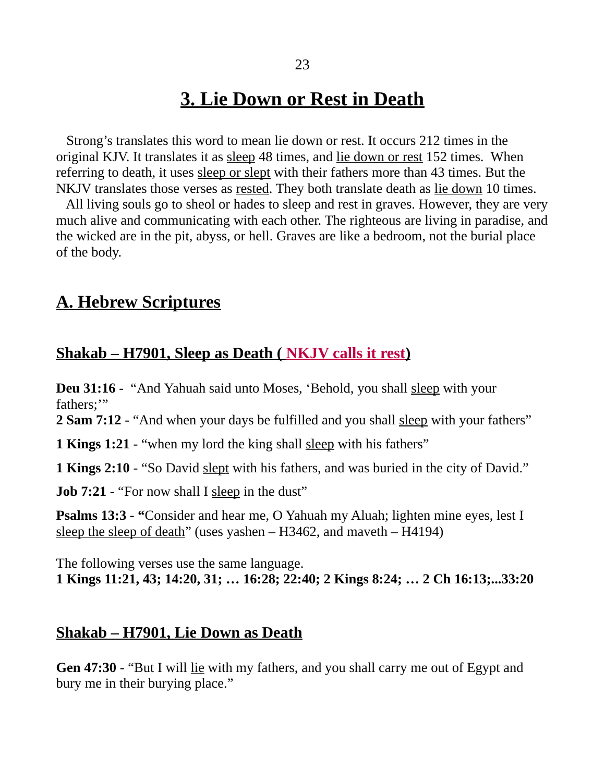## **3. Lie Down or Rest in Death**

 Strong's translates this word to mean lie down or rest. It occurs 212 times in the original KJV. It translates it as sleep 48 times, and <u>lie down or rest</u> 152 times. When referring to death, it uses sleep or slept with their fathers more than 43 times. But the NKJV translates those verses as rested. They both translate death as <u>lie down</u> 10 times.

 All living souls go to sheol or hades to sleep and rest in graves. However, they are very much alive and communicating with each other. The righteous are living in paradise, and the wicked are in the pit, abyss, or hell. Graves are like a bedroom, not the burial place of the body.

## **A. Hebrew Scriptures**

#### **Shakab – H7901, Sleep as Death ( NKJV calls it rest )**

**Deu 31:16** - "And Yahuah said unto Moses, 'Behold, you shall sleep with your fathers:"

2 Sam 7:12 - "And when your days be fulfilled and you shall sleep with your fathers"

**1 Kings 1:21** - "when my lord the king shall sleep with his fathers"

**1 Kings 2:10** - "So David slept with his fathers, and was buried in the city of David."

**Job 7:21** - "For now shall I sleep in the dust"

**Psalms 13:3 - "**Consider and hear me, O Yahuah my Aluah; lighten mine eyes, lest I sleep the sleep of death" (uses yashen - H3462, and maveth - H4194)

The following verses use the same language. **1 Kings 11:21, 43; 14:20, 31; … 16:28; 22:40; 2 Kings 8:24; … 2 Ch 16:13;...33:20** 

#### **Shakab – H7901, Lie Down as Death**

**Gen 47:30** - "But I will lie with my fathers, and you shall carry me out of Egypt and bury me in their burying place."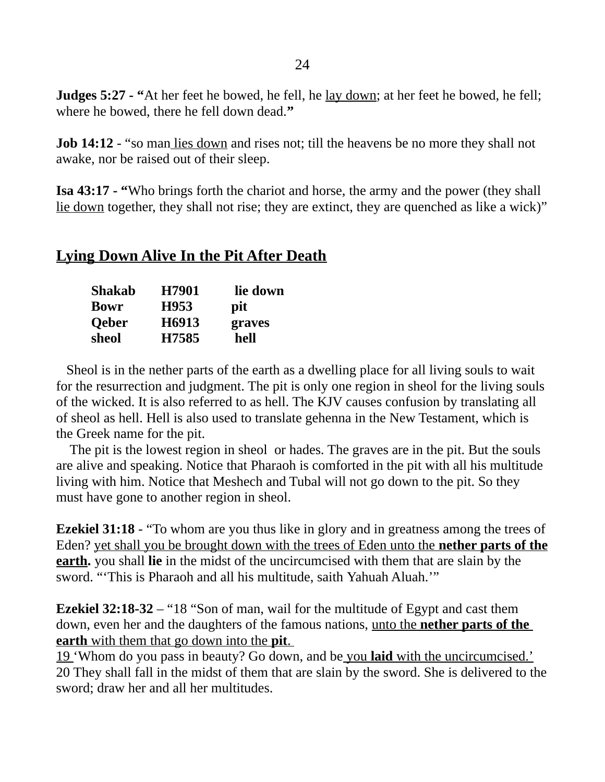**Judges 5:27 - "**At her feet he bowed, he fell, he lay down; at her feet he bowed, he fell; where he bowed, there he fell down dead.**"**

**Job 14:12** - "so man lies down and rises not; till the heavens be no more they shall not awake, nor be raised out of their sleep.

**Isa 43:17 - "**Who brings forth the chariot and horse, the army and the power (they shall lie down together, they shall not rise; they are extinct, they are quenched as like a wick)"

#### **Lying Down Alive In the Pit After Death**

| Shakab | H7901 | lie down |
|--------|-------|----------|
| Bowr   | H953  | pit      |
| Qeber  | H6913 | graves   |
| sheol  | H7585 | hell     |

 Sheol is in the nether parts of the earth as a dwelling place for all living souls to wait for the resurrection and judgment. The pit is only one region in sheol for the living souls of the wicked. It is also referred to as hell. The KJV causes confusion by translating all of sheol as hell. Hell is also used to translate gehenna in the New Testament, which is the Greek name for the pit.

 The pit is the lowest region in sheol or hades. The graves are in the pit. But the souls are alive and speaking. Notice that Pharaoh is comforted in the pit with all his multitude living with him. Notice that Meshech and Tubal will not go down to the pit. So they must have gone to another region in sheol.

**Ezekiel 31:18** - "To whom are you thus like in glory and in greatness among the trees of Eden? yet shall you be brought down with the trees of Eden unto the **nether parts of the earth.** you shall **lie** in the midst of the uncircumcised with them that are slain by the sword. "'This is Pharaoh and all his multitude, saith Yahuah Aluah.'"

**Ezekiel 32:18-32** – "18 "Son of man, wail for the multitude of Egypt and cast them down, even her and the daughters of the famous nations, unto the **nether parts of the earth** with them that go down into the **pit**.

19 'Whom do you pass in beauty? Go down, and be you **laid** with the uncircumcised.' 20 They shall fall in the midst of them that are slain by the sword. She is delivered to the sword; draw her and all her multitudes.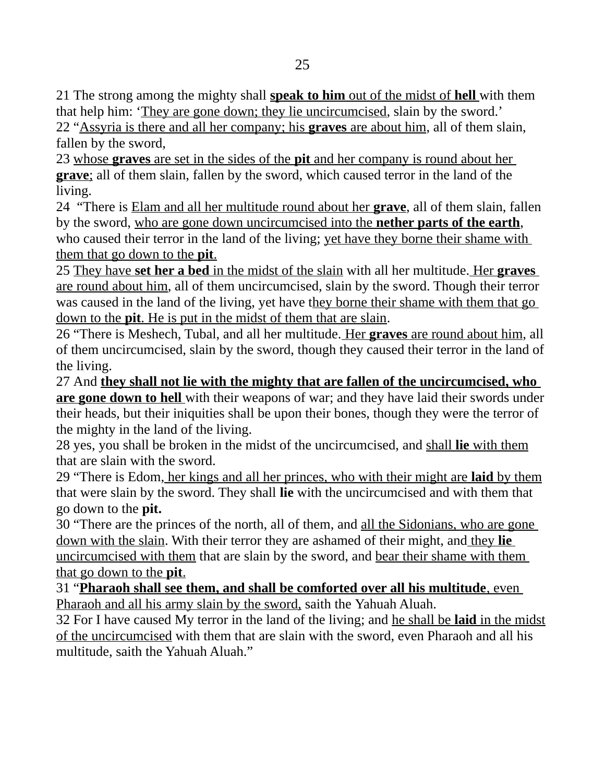21 The strong among the mighty shall **speak to him** out of the midst of **hell** with them that help him: 'They are gone down; they lie uncircumcised, slain by the sword.'

22 " Assyria is there and all her company; his **graves** are about him, all of them slain, fallen by the sword,

23 whose **graves** are set in the sides of the **pit** and her company is round about her **grave**; all of them slain, fallen by the sword, which caused terror in the land of the living.

24"There is Elam and all her multitude round about her **grave**, all of them slain, fallen by the sword, who are gone down uncircumcised into the **nether parts of the earth**, who caused their terror in the land of the living; yet have they borne their shame with them that go down to the **pit**.

25 They have **set her a bed** in the midst of the slain with all her multitude.Her **graves** are round about him, all of them uncircumcised, slain by the sword. Though their terror was caused in the land of the living, yet have they borne their shame with them that go down to the **pit** . He is put in the midst of them that are slain.

26 "There is Meshech, Tubal, and all her multitude. Her **graves** are round about him, all of them uncircumcised, slain by the sword, though they caused their terror in the land of the living.

27 And **they shall not lie with the mighty that are fallen of the uncircumcised, who are gone down to hell** with their weapons of war; and they have laid their swords under their heads, but their iniquities shall be upon their bones, though they were the terror of the mighty in the land of the living.

28 yes, you shall be broken in the midst of the uncircumcised, and shall **lie** with them that are slain with the sword.

29 "There is Edom, her kings and all her princes, who with their might are **laid** by them that were slain by the sword. They shall **lie** with the uncircumcised and with them that go down to the **pit.**

30 "There are the princes of the north, all of them, and all the Sidonians, who are gone down with the slain. With their terror they are ashamed of their might, and they **lie** uncircumcised with them that are slain by the sword, and bear their shame with them that go down to the **pit**.

31 " **Pharaoh shall see them, and shall be comforted over all his multitude** , even Pharaoh and all his army slain by the sword, saith the Yahuah Aluah.

32 For I have caused My terror in the land of the living; and he shall be **laid** in the midst of the uncircumcised with them that are slain with the sword, even Pharaoh and all his multitude, saith the Yahuah Aluah."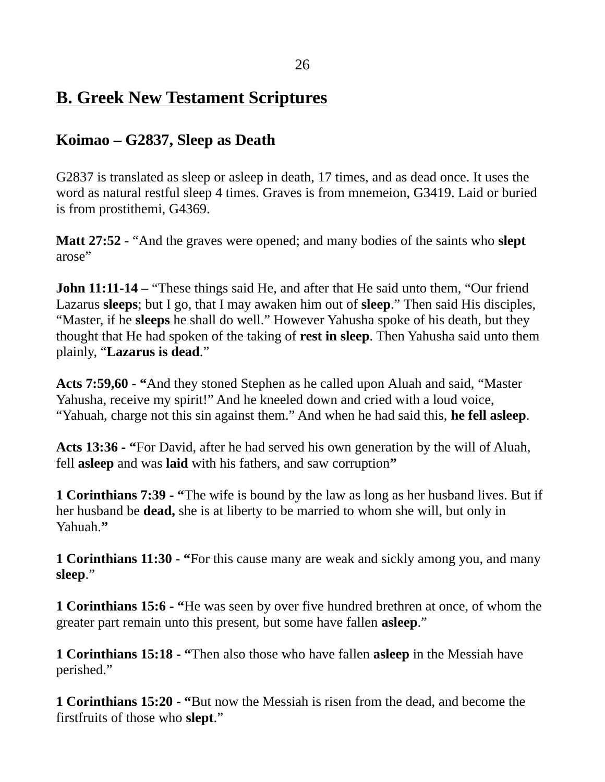## **B. Greek New Testament Scriptures**

### **Koimao – G2837, Sleep as Death**

G2837 is translated as sleep or asleep in death, 17 times, and as dead once. It uses the word as natural restful sleep 4 times. Graves is from mnemeion, G3419. Laid or buried is from prostithemi, G4369.

**Matt 27:52** - "And the graves were opened; and many bodies of the saints who **slept** arose"

**John 11:11-14** – "These things said He, and after that He said unto them, "Our friend Lazarus **sleeps**; but I go, that I may awaken him out of **sleep**." Then said His disciples, "Master, if he **sleeps** he shall do well." However Yahusha spoke of his death, but they thought that He had spoken of the taking of **rest in sleep**. Then Yahusha said unto them plainly, "**Lazarus is dead**."

**Acts 7:59,60 - "**And they stoned Stephen as he called upon Aluah and said, "Master Yahusha, receive my spirit!" And he kneeled down and cried with a loud voice, "Yahuah, charge not this sin against them." And when he had said this, **he fell asleep**.

**Acts 13:36 - "**For David, after he had served his own generation by the will of Aluah, fell **asleep** and was **laid** with his fathers, and saw corruption**"**

**1 Corinthians 7:39 - "**The wife is bound by the law as long as her husband lives. But if her husband be **dead,** she is at liberty to be married to whom she will, but only in Yahuah.**"**

**1 Corinthians 11:30 - "**For this cause many are weak and sickly among you, and many **sleep**."

**1 Corinthians 15:6 - "**He was seen by over five hundred brethren at once, of whom the greater part remain unto this present, but some have fallen **asleep**."

**1 Corinthians 15:18 - "**Then also those who have fallen **asleep** in the Messiah have perished."

**1 Corinthians 15:20 - "**But now the Messiah is risen from the dead, and become the firstfruits of those who **slept**."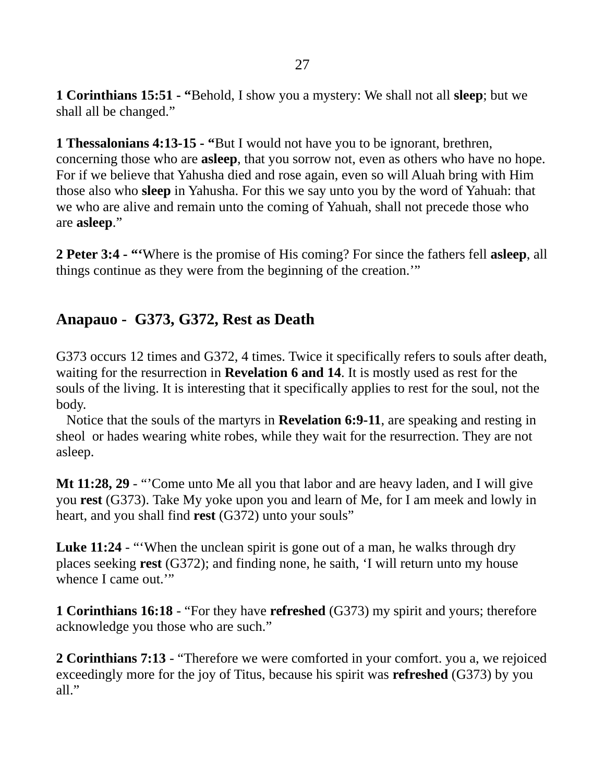**1 Corinthians 15:51 - "**Behold, I show you a mystery: We shall not all **sleep**; but we shall all be changed."

**1 Thessalonians 4:13-15 - "**But I would not have you to be ignorant, brethren, concerning those who are **asleep**, that you sorrow not, even as others who have no hope. For if we believe that Yahusha died and rose again, even so will Aluah bring with Him those also who **sleep** in Yahusha. For this we say unto you by the word of Yahuah: that we who are alive and remain unto the coming of Yahuah, shall not precede those who are **asleep**."

**2 Peter 3:4 - "'**Where is the promise of His coming? For since the fathers fell **asleep**, all things continue as they were from the beginning of the creation.'"

### **Anapauo - G373, G372, Rest as Death**

G373 occurs 12 times and G372, 4 times. Twice it specifically refers to souls after death, waiting for the resurrection in **Revelation 6 and 14**. It is mostly used as rest for the souls of the living. It is interesting that it specifically applies to rest for the soul, not the body.

 Notice that the souls of the martyrs in **Revelation 6:9-11**, are speaking and resting in sheol or hades wearing white robes, while they wait for the resurrection. They are not asleep.

**Mt 11:28, 29 - "'Come unto Me all you that labor and are heavy laden, and I will give** you **rest** (G373). Take My yoke upon you and learn of Me, for I am meek and lowly in heart, and you shall find **rest** (G372) unto your souls"

**Luke 11:24** - "When the unclean spirit is gone out of a man, he walks through dry places seeking **rest** (G372); and finding none, he saith, 'I will return unto my house whence I came out.'"

**1 Corinthians 16:18** - "For they have **refreshed** (G373) my spirit and yours; therefore acknowledge you those who are such."

**2 Corinthians 7:13** - "Therefore we were comforted in your comfort. you a, we rejoiced exceedingly more for the joy of Titus, because his spirit was **refreshed** (G373) by you all."